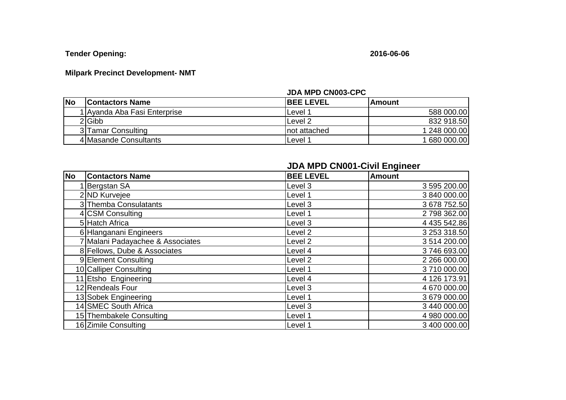**Tender Opening: 2016-06-06**

## **Milpark Precinct Development- NMT**

## **JDA MPD CN003-CPC**

| <b>No</b> | <b>Contactors Name</b>       | <b>IBEE LEVEL</b>  | lAmount        |
|-----------|------------------------------|--------------------|----------------|
|           | 1 Ayanda Aba Fasi Enterprise | Level ′            | 588 000.00     |
|           | 2 Gibb                       | Level <sub>2</sub> | 832 918.50     |
|           | 3 Tamar Consulting           | Inot attached      | 1 248 000.00   |
|           | 4 Masande Consultants        | Level <sup>1</sup> | 1 680 000.00 l |

|           |                                  | <b>JDA MPD CN001-Civil Engineer</b> |              |  |
|-----------|----------------------------------|-------------------------------------|--------------|--|
| <b>No</b> | <b>Contactors Name</b>           | <b>BEE LEVEL</b>                    | Amount       |  |
|           | Bergstan SA                      | Level 3                             | 3 595 200.00 |  |
|           | 2 ND Kurvejee                    | Level 1                             | 3 840 000.00 |  |
|           | 3 Themba Consulatants            | Level 3                             | 3 678 752.50 |  |
|           | 4 CSM Consulting                 | Level 1                             | 2798362.00   |  |
|           | 5 Hatch Africa                   | Level 3                             | 4 435 542.86 |  |
|           | 6 Hlanganani Engineers           | Level <sub>2</sub>                  | 3 253 318.50 |  |
|           | 7 Malani Padayachee & Associates | Level <sub>2</sub>                  | 3 514 200.00 |  |
|           | 8 Fellows, Dube & Associates     | Level 4                             | 3746693.00   |  |
|           | 9 Element Consulting             | Level <sub>2</sub>                  | 2 266 000.00 |  |
|           | 10 Calliper Consulting           | Level 1                             | 3710 000.00  |  |
|           | 11 Etsho Engineering             | Level 4                             | 4 126 173.91 |  |
|           | 12 Rendeals Four                 | Level 3                             | 4 670 000.00 |  |
|           | 13 Sobek Engineering             | Level 1                             | 3 679 000.00 |  |
|           | 14 SMEC South Africa             | Level 3                             | 3 440 000.00 |  |
|           | 15 Thembakele Consulting         | Level 1                             | 4 980 000.00 |  |
|           | 16 Zimile Consulting             | Level 1                             | 3 400 000.00 |  |

## **JDA MPD CN001-Civil Engineer**